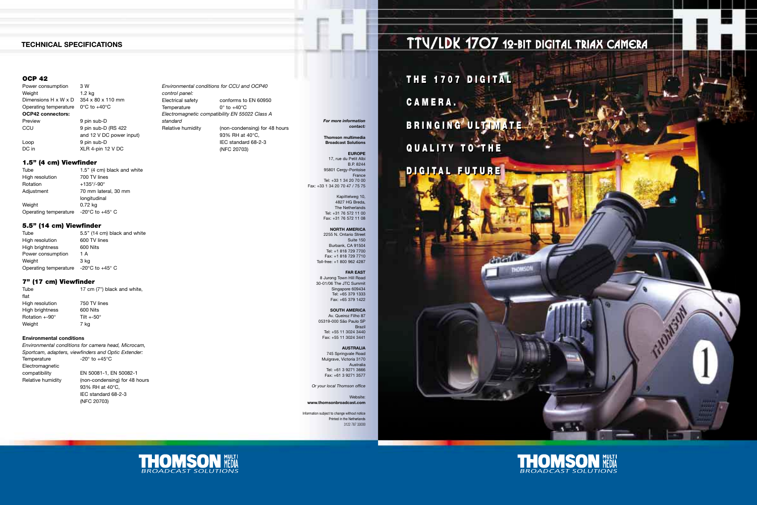*Environmental conditions for CCU and OCP40 control panel:* Electrical safety conforms to EN 60950 Temperature  $0^\circ$  to  $+40^\circ C$ *Electromagnetic compatibility EN 55022 Class A standard* Relative humidity (non-condensing) for 48 hours 93% RH at 40°C, IEC standard 68-2-3 (NFC 20703)

Power consumption 3 W Weight 1.2 kg Dimensions H x W x D 354 x 80 x 110 mm Operating temperature 0°C to +40°C **OCP42 connectors:** Preview 9 pin sub-D CCU 9 pin sub-D (RS 422 and 12 V DC power input) Loop 9 pin sub-D<br>DC in XI R 4-pin 12 XLR 4-pin 12 V DC

### **OCP 42**

Tube 1.5" (4 cm) black and white High resolution 700 TV lines Rotation +135°/-90° Adjustment 70 mm lateral, 30 mm longitudinal Weight 0.72 kg Operating temperature -20°C to +45° C

Tube 5.5" (14 cm) black and white High resolution 600 TV lines High brightness 600 Nits Power consumption 1 A Weight 3 kg Operating temperature -20°C to +45° C

#### **1.5'' (4 cm) Viewfinder**

#### **5.5'' (14 cm) Viewfinder**

#### **7'' (17 cm) Viewfinder**

Tube 17 cm (7") black and white, flat High resolution 750 TV lines High brightness 600 Nits Rotation +-90° Tilt +-50° Weight 7 kg

#### **Environmental conditions**

*Environmental conditions for camera head, Microcam, Sportcam, adapters, viewfinders and Optic Extender:* Temperature  $-20^\circ$  to  $+45^\circ$ C Electromagnetic compatibility EN 50081-1, EN 50082-1 Relative humidity (non-condensing) for 48 hours 93% RH at 40°C, IEC standard 68-2-3

(NFC 20703)

## **TECHNICAL SPECIFICATIONS**

*For more information* 

*contact:* **Thomson multimedia Broadcast Solutions**

**EUROPE** 17, rue du Petit Albi B.P. 8244 95801 Cergy-Pontoise **France** Tel: +33 1 34 20 70 00 Fax: +33 1 34 20 70 47 / 75 75

> Kapittelweg 10, 4827 HG Breda, The Netherlands Tel: +31 76 572 11 00 Fax: +31 76 572 11 08

**NORTH AMERICA** 2255 N. Ontario Street Suite 150 Burbank, CA 91504 Tel: +1 818 729 7700 Fax: +1 818 729 7710 Toll-free: +1 800 962 4287

**FAR EAST** 8 Jurong Town Hill Road 30-01/06 The JTC Summit Singapore 609434 Tel: +65 379 1333 Fax: +65 379 1422

**SOUTH AMERICA** Av. Queiroz Filho 87 05319-000 São Paulo SP Brazil Tel: +55 11 3024 3440

Fax: +55 11 3024 3441

#### **AUSTRALIA** 745 Springvale Road Mulgrave, Victoria 3170 Australia Tel: +61 3 9271 3666

Fax: +61 3 9271 3577

*Or your local Thomson office*

Website: **www.thomsonbroadcast.com**

Information subject to change without notice Printed in the Netherlands 3122 787 33000



**THE 1707 DIGITAL THE 1707 DIGITAL**

**CAMERA. CAMERA.**

**B R I NG I NG U LT IM AT E B R I NG I NG U LT IM AT E QUALITY TO THE QUALITY TO THE**

**DIGITAL FUTURE DIGITAL FUTURE**



TTV/LDK 1707 12-BIT DIGITAL TRIAX CAMERA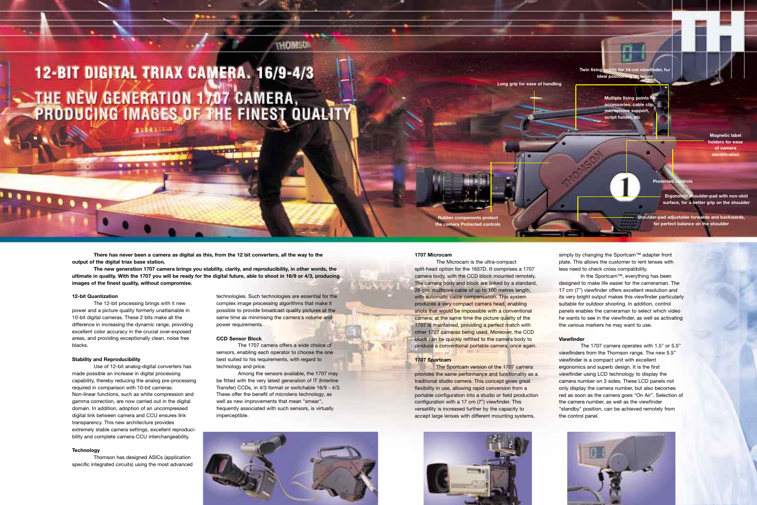#### **12-bit Quantization**

The 12-bit processing brings with it new power and a picture quality formerly unattainable in 10-bit digital cameras. These 2 bits make all the difference in increasing the dynamic range, providing excellent color accuracy in the crucial over-exposed areas, and providing exceptionally clean, noise free blacks.

#### **Stability and Reproducibility**

Use of 12-bit analog-digital converters has made possible an increase in digital processing capability, thereby reducing the analog pre-processing required in comparison with 10-bit cameras. Non-linear functions, such as white compression and gamma correction, are now carried out in the digital domain. In addition, adoption of an uncompressed digital link between camera and CCU ensures link transparency. This new architecture provides extremely stable camera settings, excellent reproducibility and complete camera-CCU interchangeability.

#### **Technology**

Thomson has designed ASICs (application specific integrated circuits) using the most advanced

technologies. Such technologies are essential for the complex image processing algorithms that make it possible to provide broadcast quality pictures at the same time as minimising the camera's volume and power requirements.

**THOMSU** 

#### **CCD Sensor Block**

The 1707 camera offers a wide choice of sensors, enabling each operator to choose the one best suited to his requirements, with regard to technology and price.

simply by changing the Sportcam™ adapter front plate. This allows the customer to rent lenses with less need to check cross compatibility.

Among the sensors available, the 1707 may be fitted with the very latest generation of IT (Interline Transfer) CCDs, in 4/3 format or switchable 16/9 - 4/3. These offer the benefit of microlens technology, as well as new improvements that mean "smear", frequently associated with such sensors, is virtually imperceptible.



#### **1707 Microcam**

The Microcam is the ultra-compact split-head option for the 1657D. It comprises a 1707 camera body, with the CCD block mounted remotely. The camera body and block are linked by a standard, 26-pin, multicore cable of up to 100 metres length, with automatic cable compensation. This system produces a very compact camera head, enabling shots that would be impossible with a conventional camera; at the same time the picture quality of the 1707 is maintained, providing a perfect match with other 1707 cameras being used. Moreover, the CCD block can be quickly refitted to the camera body to produce a conventional portable camera, once again.

**Ider-pad with non-skid surface, for a better grip on the shoulder**

**Rubber components protect the camera Protected co** 

#### **1707 Sportcam**

The Sportcam version of the 1707 camera provides the same performance and functionality as a traditional studio camera. This concept gives great flexibility in use, allowing rapid conversion from a portable configuration into a studio or field production configuration with a 17 cm (7") viewfinder. This versatility is increased further by the capacity to accept large lenses with different mounting systems,



In the Sportcam™, everything has been designed to make life easier for the cameraman. The 17 cm (7'') viewfinder offers excellent resolution and its very bright output makes this viewfinder particularly suitable for outdoor shooting. In addition, control panels enables the cameraman to select which video he wants to see in the viewfinder, as well as activating the various markers he may want to use.

#### **Viewfinder**

The 1707 camera operates with 1.5" or 5.5'' viewfinders from the Thomson range. The new 5.5'' viewfinder is a compact unit with excellent ergonomics and superb design. It is the first viewfinder using LCD technology to display the camera number on 3 sides. These LCD panels not only display the camera number, but also becomes red as soon as the camera goes "On Air". Selection of the camera number, as well as the viewfinder "standby" position, can be achieved remotely from the control panel.



# 12-BIT DIGITAL TRIAX CAMERA. 16/9-4/3 THE NÈW GENERATION 1707 CAMERA,

**There has never been a camera as digital as this, from the 12 bit converters, all the way to the output of the digital triax base station.**

**The new generation 1707 camera brings you stability, clarity, and reproducibility, in other words, the ultimate in quality. With the 1707 you will be ready for the digital future, able to shoot in 16/9 or 4/3, producing images of the finest quality, without compromise.**

**ALCOHOL: NEWSFILM** 

**Long grip for ease of handling**

**Twin fixing points for 14-cm view ideal position** 

> **Multiple fixing points accessories: cable clip, microphone support,**  script holder, et

> > **Protected controls**

**Shoulder-pad adjustable forwards and backwards, for perfect balance on the shoulder**

**Magnetic label holders for ease of camera identification**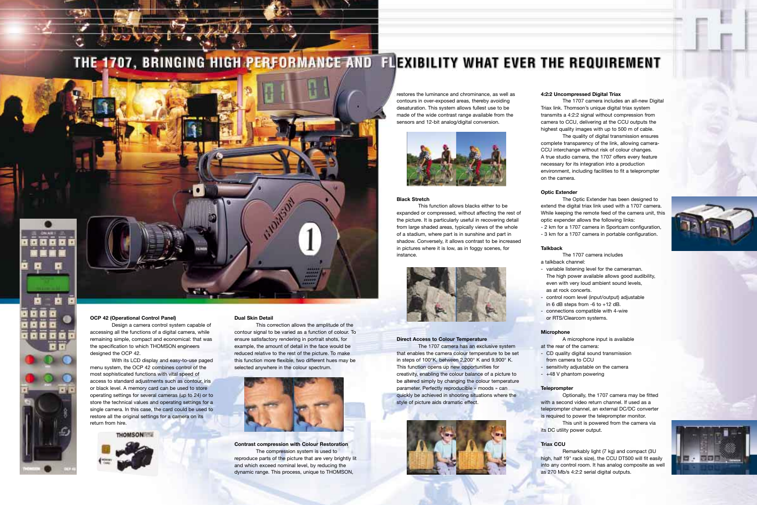# THE 1707, BRINGING HIGH PERFORMANCE AND FLEXIBILITY WHAT EVER THE REQUIREMENT



#### **OCP 42 (Operational Control Panel)**

Design a camera control system capable of accessing all the functions of a digital camera, while remaining simple, compact and economical: that was the specification to which THOMSON engineers designed the OCP 42.

With its LCD display and easy-to-use paged menu system, the OCP 42 combines control of the most sophisticated functions with vital speed of access to standard adjustments such as contour, iris or black level. A memory card can be used to store operating settings for several cameras (up to 24) or to store the technical values and operating settings for a single camera. In this case, the card could be used to restore all the original settings for a camera on its return from hire.

**THOMSON** 



#### **Dual Skin Detail**

This correction allows the amplitude of the contour signal to be varied as a function of colour. To ensure satisfactory rendering in portrait shots, for example, the amount of detail in the face would be reduced relative to the rest of the picture. To make this function more flexible, two different hues may be selected anywhere in the colour spectrum.



**Contrast compression with Colour Restoration** The compression system is used to reproduce parts of the picture that are very brightly lit and which exceed nominal level, by reducing the dynamic range. This process, unique to THOMSON,

restores the luminance and chrominance, as well as contours in over-exposed areas, thereby avoiding desaturation. This system allows fullest use to be made of the wide contrast range available from the sensors and 12-bit analog/digital conversion.



The 1707 camera includes an all-new Digital Triax link. Thomson's unique digital triax system transmits a 4:2:2 signal without compression from camera to CCU, delivering at the CCU outputs the highest quality images with up to 500 m of cable. The quality of digital transmission ensures complete transparency of the link, allowing camera-CCU interchange without risk of colour changes. A true studio camera, the 1707 offers every feature necessary for its integration into a production environment, including facilities to fit a teleprompter on the camera.

#### **Black Stretch**

This function allows blacks either to be expanded or compressed, without affecting the rest of the picture. It is particularly useful in recovering detail from large shaded areas, typically views of the whole of a stadium, where part is in sunshine and part in shadow. Conversely, it allows contrast to be increased in pictures where it is low, as in foggy scenes, for instance.



#### **Direct Access to Colour Temperature**

The 1707 camera has an exclusive system that enables the camera colour temperature to be set in steps of 100°K, between 2,200° K and 9,900° K. This function opens up new opportunities for creativity, enabling the colour balance of a picture to be altered simply by changing the colour temperature parameter. Perfectly reproducible « moods » can quickly be achieved in shooting situations where the style of picture aids dramatic effect.



#### **4:2:2 Uncompressed Digital Triax**

**Optic Extender**

The Optic Extender has been designed to extend the digital triax link used with a 1707 camera. While keeping the remote feed of the camera unit, this optic expender allows the following links: - 2 km for a 1707 camera in Sportcam configuration, - 3 km for a 1707 camera in portable configuration.

#### **Talkback**

The 1707 camera includes

a talkback channel:

- variable listening level for the cameraman. The high power available allows good audibility, even with very loud ambient sound levels, as at rock concerts.
- 
- connections compatible with 4-wire
- or RTS/Clearcom systems.
- control room level (input/output) adjustable
- in 6 dB steps from -6 to +12 dB.
	-
	- A microphone input is available
- CD quality digital sound transmission

# **Microphone**

at the rear of the camera:

- from camera to CCU
- sensitivity adjustable on the camera
- +48 V phantom powering

# **Teleprompter**

Optionally, the 1707 camera may be fitted with a second video return channel. If used as a teleprompter channel, an external DC/DC converter is required to power the teleprompter monitor. This unit is powered from the camera via its DC utility power output.

**Triax CCU**

Remarkably light (7 kg) and compact (3U high, half 19" rack size), the CCU DT500 will fit easily into any control room. It has analog composite as well as 270 Mb/s 4:2:2 serial digital outputs.